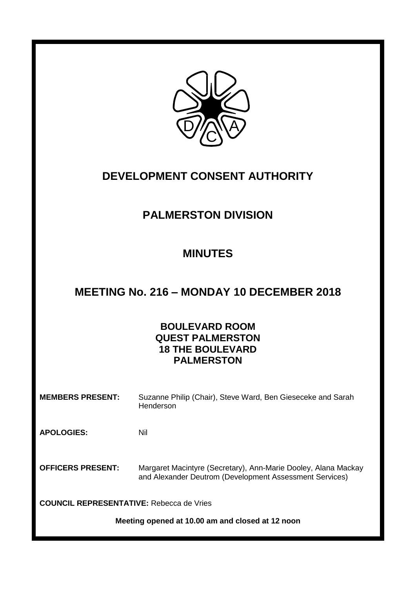

## **DEVELOPMENT CONSENT AUTHORITY**

### **PALMERSTON DIVISION**

### **MINUTES**

### **MEETING No. 216 – MONDAY 10 DECEMBER 2018**

### **BOULEVARD ROOM QUEST PALMERSTON 18 THE BOULEVARD PALMERSTON**

**MEMBERS PRESENT:** Suzanne Philip (Chair), Steve Ward, Ben Gieseceke and Sarah Henderson

**APOLOGIES:** Nil

**OFFICERS PRESENT:** Margaret Macintyre (Secretary), Ann-Marie Dooley, Alana Mackay and Alexander Deutrom (Development Assessment Services)

**COUNCIL REPRESENTATIVE:** Rebecca de Vries

**Meeting opened at 10.00 am and closed at 12 noon**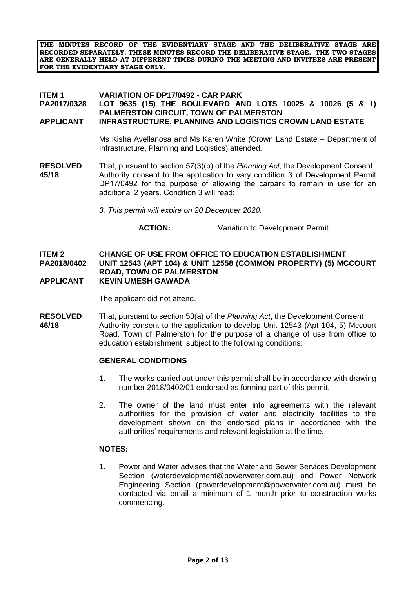**THE MINUTES RECORD OF THE EVIDENTIARY STAGE AND THE DELIBERATIVE STAGE ARE RECORDED SEPARATELY. THESE MINUTES RECORD THE DELIBERATIVE STAGE. THE TWO STAGES ARE GENERALLY HELD AT DIFFERENT TIMES DURING THE MEETING AND INVITEES ARE PRESENT FOR THE EVIDENTIARY STAGE ONLY.**

# **ITEM 1 VARIATION OF DP17/0492 - CAR PARK**

#### **PA2017/0328 LOT 9635 (15) THE BOULEVARD AND LOTS 10025 & 10026 (5 & 1) PALMERSTON CIRCUIT, TOWN OF PALMERSTON APPLICANT INFRASTRUCTURE, PLANNING AND LOGISTICS CROWN LAND ESTATE**

Ms Kisha Avellanosa and Ms Karen White (Crown Land Estate – Department of Infrastructure, Planning and Logistics) attended.

- **RESOLVED** That, pursuant to section 57(3)(b) of the *Planning Act,* the Development Consent **45/18** Authority consent to the application to vary condition 3 of Development Permit DP17/0492 for the purpose of allowing the carpark to remain in use for an additional 2 years. Condition 3 will read:
	- *3. This permit will expire on 20 December 2020.*

#### **ACTION:** Variation to Development Permit

#### **ITEM 2 CHANGE OF USE FROM OFFICE TO EDUCATION ESTABLISHMENT PA2018/0402 UNIT 12543 (APT 104) & UNIT 12558 (COMMON PROPERTY) (5) MCCOURT ROAD, TOWN OF PALMERSTON APPLICANT KEVIN UMESH GAWADA**

The applicant did not attend.

**RESOLVED** That, pursuant to section 53(a) of the *Planning Act*, the Development Consent 46/18 <br>46/18 Authority consent to the application to develop Unit 12543 (Apt 104, 5) Mccc Authority consent to the application to develop Unit 12543 (Apt 104, 5) Mccourt Road, Town of Palmerston for the purpose of a change of use from office to education establishment, subject to the following conditions:

#### **GENERAL CONDITIONS**

- 1. The works carried out under this permit shall be in accordance with drawing number 2018/0402/01 endorsed as forming part of this permit.
- 2. The owner of the land must enter into agreements with the relevant authorities for the provision of water and electricity facilities to the development shown on the endorsed plans in accordance with the authorities' requirements and relevant legislation at the time.

#### **NOTES:**

1. Power and Water advises that the Water and Sewer Services Development Section (waterdevelopment@powerwater.com.au) and Power Network Engineering Section (powerdevelopment@powerwater.com.au) must be contacted via email a minimum of 1 month prior to construction works commencing.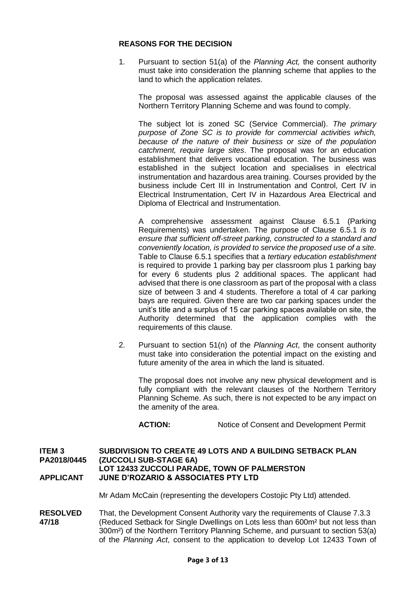#### **REASONS FOR THE DECISION**

1. Pursuant to section 51(a) of the *Planning Act,* the consent authority must take into consideration the planning scheme that applies to the land to which the application relates.

The proposal was assessed against the applicable clauses of the Northern Territory Planning Scheme and was found to comply.

The subject lot is zoned SC (Service Commercial). *The primary purpose of Zone SC is to provide for commercial activities which, because of the nature of their business or size of the population catchment, require large sites*. The proposal was for an education establishment that delivers vocational education. The business was established in the subject location and specialises in electrical instrumentation and hazardous area training. Courses provided by the business include Cert III in Instrumentation and Control, Cert IV in Electrical Instrumentation, Cert IV in Hazardous Area Electrical and Diploma of Electrical and Instrumentation.

A comprehensive assessment against Clause 6.5.1 (Parking Requirements) was undertaken. The purpose of Clause 6.5.1 *is to ensure that sufficient off-street parking, constructed to a standard and conveniently location, is provided to service the proposed use of a site.*  Table to Clause 6.5.1 specifies that a *tertiary education establishment* is required to provide 1 parking bay per classroom plus 1 parking bay for every 6 students plus 2 additional spaces. The applicant had advised that there is one classroom as part of the proposal with a class size of between 3 and 4 students. Therefore a total of 4 car parking bays are required. Given there are two car parking spaces under the unit's title and a surplus of 15 car parking spaces available on site, the Authority determined that the application complies with the requirements of this clause.

2. Pursuant to section 51(n) of the *Planning Act*, the consent authority must take into consideration the potential impact on the existing and future amenity of the area in which the land is situated.

The proposal does not involve any new physical development and is fully compliant with the relevant clauses of the Northern Territory Planning Scheme. As such, there is not expected to be any impact on the amenity of the area.

**ACTION:** Notice of Consent and Development Permit

#### **ITEM 3 SUBDIVISION TO CREATE 49 LOTS AND A BUILDING SETBACK PLAN PA2018/0445 (ZUCCOLI SUB-STAGE 6A) LOT 12433 ZUCCOLI PARADE, TOWN OF PALMERSTON APPLICANT JUNE D'ROZARIO & ASSOCIATES PTY LTD**

Mr Adam McCain (representing the developers Costojic Pty Ltd) attended.

**RESOLVED** That, the Development Consent Authority vary the requirements of Clause 7.3.3 **47/18** (Reduced Setback for Single Dwellings on Lots less than 600m² but not less than 300m²) of the Northern Territory Planning Scheme, and pursuant to section 53(a) of the *Planning Act*, consent to the application to develop Lot 12433 Town of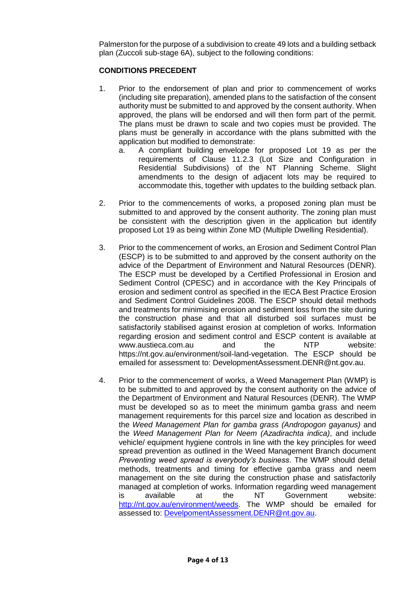Palmerston for the purpose of a subdivision to create 49 lots and a building setback plan (Zuccoli sub-stage 6A), subject to the following conditions:

#### **CONDITIONS PRECEDENT**

- 1. Prior to the endorsement of plan and prior to commencement of works (including site preparation), amended plans to the satisfaction of the consent authority must be submitted to and approved by the consent authority. When approved, the plans will be endorsed and will then form part of the permit. The plans must be drawn to scale and two copies must be provided. The plans must be generally in accordance with the plans submitted with the application but modified to demonstrate:
	- a. A compliant building envelope for proposed Lot 19 as per the requirements of Clause 11.2.3 (Lot Size and Configuration in Residential Subdivisions) of the NT Planning Scheme. Slight amendments to the design of adjacent lots may be required to accommodate this, together with updates to the building setback plan.
- 2. Prior to the commencements of works, a proposed zoning plan must be submitted to and approved by the consent authority. The zoning plan must be consistent with the description given in the application but identify proposed Lot 19 as being within Zone MD (Multiple Dwelling Residential).
- 3. Prior to the commencement of works, an Erosion and Sediment Control Plan (ESCP) is to be submitted to and approved by the consent authority on the advice of the Department of Environment and Natural Resources (DENR). The ESCP must be developed by a Certified Professional in Erosion and Sediment Control (CPESC) and in accordance with the Key Principals of erosion and sediment control as specified in the IECA Best Practice Erosion and Sediment Control Guidelines 2008. The ESCP should detail methods and treatments for minimising erosion and sediment loss from the site during the construction phase and that all disturbed soil surfaces must be satisfactorily stabilised against erosion at completion of works. Information regarding erosion and sediment control and ESCP content is available at [www.austieca.com.au](http://www.austieca.com.au/) and the NTP website: [https://nt.gov.au/environment/soil-land-vegetation.](https://nt.gov.au/environment/soil-land-vegetation) The ESCP should be emailed for assessment to: [DevelopmentAssessment.DENR@nt.gov.au.](mailto:DevelopmentAssessment.DENR@nt.gov.au)
- 4. Prior to the commencement of works, a Weed Management Plan (WMP) is to be submitted to and approved by the consent authority on the advice of the Department of Environment and Natural Resources (DENR). The WMP must be developed so as to meet the minimum gamba grass and neem management requirements for this parcel size and location as described in the *Weed Management Plan for gamba grass (Andropogon gayanus)* and the *Weed Management Plan for Neem (Azadirachta indica)*, and include vehicle/ equipment hygiene controls in line with the key principles for weed spread prevention as outlined in the Weed Management Branch document *Preventing weed spread is everybody's business*. The WMP should detail methods, treatments and timing for effective gamba grass and neem management on the site during the construction phase and satisfactorily managed at completion of works. Information regarding weed management is available at the NT Government website: [http://nt.gov.au/environment/weeds.](http://nt.gov.au/environment/weeds) The WMP should be emailed for assessed to: [DevelpomentAssessment.DENR@nt.gov.au.](mailto:DevelpomentAssessment.DENR@nt.gov.au)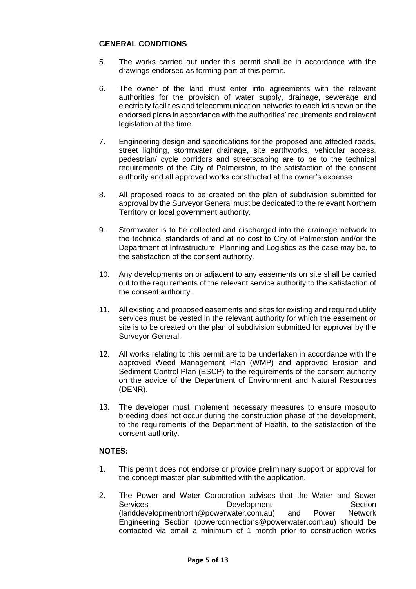#### **GENERAL CONDITIONS**

- 5. The works carried out under this permit shall be in accordance with the drawings endorsed as forming part of this permit.
- 6. The owner of the land must enter into agreements with the relevant authorities for the provision of water supply, drainage, sewerage and electricity facilities and telecommunication networks to each lot shown on the endorsed plans in accordance with the authorities' requirements and relevant legislation at the time.
- 7. Engineering design and specifications for the proposed and affected roads, street lighting, stormwater drainage, site earthworks, vehicular access, pedestrian/ cycle corridors and streetscaping are to be to the technical requirements of the City of Palmerston, to the satisfaction of the consent authority and all approved works constructed at the owner's expense.
- 8. All proposed roads to be created on the plan of subdivision submitted for approval by the Surveyor General must be dedicated to the relevant Northern Territory or local government authority.
- 9. Stormwater is to be collected and discharged into the drainage network to the technical standards of and at no cost to City of Palmerston and/or the Department of Infrastructure, Planning and Logistics as the case may be, to the satisfaction of the consent authority.
- 10. Any developments on or adjacent to any easements on site shall be carried out to the requirements of the relevant service authority to the satisfaction of the consent authority.
- 11. All existing and proposed easements and sites for existing and required utility services must be vested in the relevant authority for which the easement or site is to be created on the plan of subdivision submitted for approval by the Surveyor General.
- 12. All works relating to this permit are to be undertaken in accordance with the approved Weed Management Plan (WMP) and approved Erosion and Sediment Control Plan (ESCP) to the requirements of the consent authority on the advice of the Department of Environment and Natural Resources (DENR).
- 13. The developer must implement necessary measures to ensure mosquito breeding does not occur during the construction phase of the development, to the requirements of the Department of Health, to the satisfaction of the consent authority.

#### **NOTES:**

- 1. This permit does not endorse or provide preliminary support or approval for the concept master plan submitted with the application.
- 2. The Power and Water Corporation advises that the Water and Sewer Services **Development** Development Section [\(landdevelopmentnorth@powerwater.com.au\)](mailto:landdevelopmentnorth@powerwater.com.au) and Power Network Engineering Section [\(powerconnections@powerwater.com.au\)](mailto:powerconnections@powerwater.com.au) should be contacted via email a minimum of 1 month prior to construction works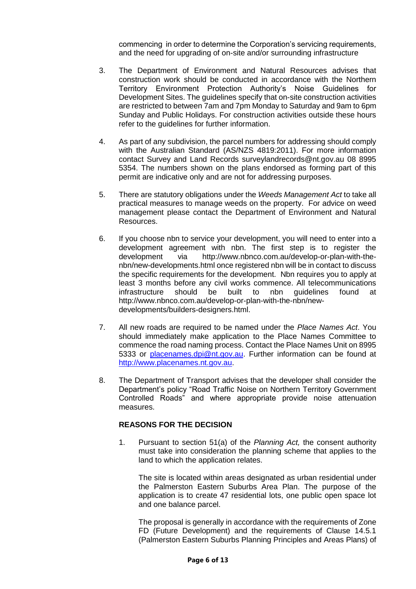commencing in order to determine the Corporation's servicing requirements, and the need for upgrading of on-site and/or surrounding infrastructure

- 3. The Department of Environment and Natural Resources advises that construction work should be conducted in accordance with the Northern Territory Environment Protection Authority's Noise Guidelines for Development Sites. The guidelines specify that on-site construction activities are restricted to between 7am and 7pm Monday to Saturday and 9am to 6pm Sunday and Public Holidays. For construction activities outside these hours refer to the guidelines for further information.
- 4. As part of any subdivision, the parcel numbers for addressing should comply with the Australian Standard (AS/NZS 4819:2011). For more information contact Survey and Land Records surveylandrecords@nt.gov.au 08 8995 5354. The numbers shown on the plans endorsed as forming part of this permit are indicative only and are not for addressing purposes.
- 5. There are statutory obligations under the *Weeds Management Act* to take all practical measures to manage weeds on the property. For advice on weed management please contact the Department of Environment and Natural Resources.
- 6. If you choose nbn to service your development, you will need to enter into a development agreement with nbn. The first step is to register the development via [http://www.nbnco.com.au/develop-or-plan-with-the](http://www.nbnco.com.au/develop-or-plan-with-the-nbn/new-developments.html)[nbn/new-developments.html](http://www.nbnco.com.au/develop-or-plan-with-the-nbn/new-developments.html) once registered nbn will be in contact to discuss the specific requirements for the development. Nbn requires you to apply at least 3 months before any civil works commence. All telecommunications infrastructure should be built to nbn guidelines found at [http://www.nbnco.com.au/develop-or-plan-with-the-nbn/new](http://www.nbnco.com.au/develop-or-plan-with-the-nbn/new-developments/builders-designers.html)[developments/builders-designers.html.](http://www.nbnco.com.au/develop-or-plan-with-the-nbn/new-developments/builders-designers.html)
- 7. All new roads are required to be named under the *Place Names Act*. You should immediately make application to the Place Names Committee to commence the road naming process. Contact the Place Names Unit on 8995 5333 or [placenames.dpi@nt.gov.au.](mailto:placenames.dpi@nt.gov.au) Further information can be found at [http://www.placenames.nt.gov.au.](http://www.placenames.nt.gov.au/)
- 8. The Department of Transport advises that the developer shall consider the Department's policy "Road Traffic Noise on Northern Territory Government Controlled Roads" and where appropriate provide noise attenuation measures.

#### **REASONS FOR THE DECISION**

1. Pursuant to section 51(a) of the *Planning Act,* the consent authority must take into consideration the planning scheme that applies to the land to which the application relates.

The site is located within areas designated as urban residential under the Palmerston Eastern Suburbs Area Plan. The purpose of the application is to create 47 residential lots, one public open space lot and one balance parcel.

The proposal is generally in accordance with the requirements of Zone FD (Future Development) and the requirements of Clause 14.5.1 (Palmerston Eastern Suburbs Planning Principles and Areas Plans) of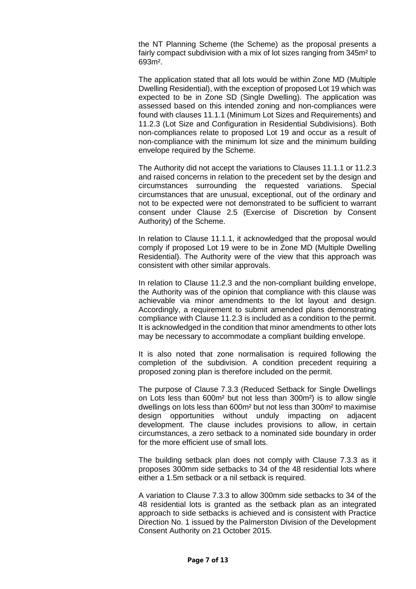the NT Planning Scheme (the Scheme) as the proposal presents a fairly compact subdivision with a mix of lot sizes ranging from 345m<sup>2</sup> to 693m².

The application stated that all lots would be within Zone MD (Multiple Dwelling Residential), with the exception of proposed Lot 19 which was expected to be in Zone SD (Single Dwelling). The application was assessed based on this intended zoning and non-compliances were found with clauses 11.1.1 (Minimum Lot Sizes and Requirements) and 11.2.3 (Lot Size and Configuration in Residential Subdivisions). Both non-compliances relate to proposed Lot 19 and occur as a result of non-compliance with the minimum lot size and the minimum building envelope required by the Scheme.

The Authority did not accept the variations to Clauses 11.1.1 or 11.2.3 and raised concerns in relation to the precedent set by the design and circumstances surrounding the requested variations. Special circumstances that are unusual, exceptional, out of the ordinary and not to be expected were not demonstrated to be sufficient to warrant consent under Clause 2.5 (Exercise of Discretion by Consent Authority) of the Scheme.

In relation to Clause 11.1.1, it acknowledged that the proposal would comply if proposed Lot 19 were to be in Zone MD (Multiple Dwelling Residential). The Authority were of the view that this approach was consistent with other similar approvals.

In relation to Clause 11.2.3 and the non-compliant building envelope, the Authority was of the opinion that compliance with this clause was achievable via minor amendments to the lot layout and design. Accordingly, a requirement to submit amended plans demonstrating compliance with Clause 11.2.3 is included as a condition to the permit. It is acknowledged in the condition that minor amendments to other lots may be necessary to accommodate a compliant building envelope.

It is also noted that zone normalisation is required following the completion of the subdivision. A condition precedent requiring a proposed zoning plan is therefore included on the permit.

The purpose of Clause 7.3.3 (Reduced Setback for Single Dwellings on Lots less than 600m² but not less than 300m²) is to allow single dwellings on lots less than 600m² but not less than 300m² to maximise design opportunities without unduly impacting on adjacent development. The clause includes provisions to allow, in certain circumstances, a zero setback to a nominated side boundary in order for the more efficient use of small lots.

The building setback plan does not comply with Clause 7.3.3 as it proposes 300mm side setbacks to 34 of the 48 residential lots where either a 1.5m setback or a nil setback is required.

A variation to Clause 7.3.3 to allow 300mm side setbacks to 34 of the 48 residential lots is granted as the setback plan as an integrated approach to side setbacks is achieved and is consistent with Practice Direction No. 1 issued by the Palmerston Division of the Development Consent Authority on 21 October 2015.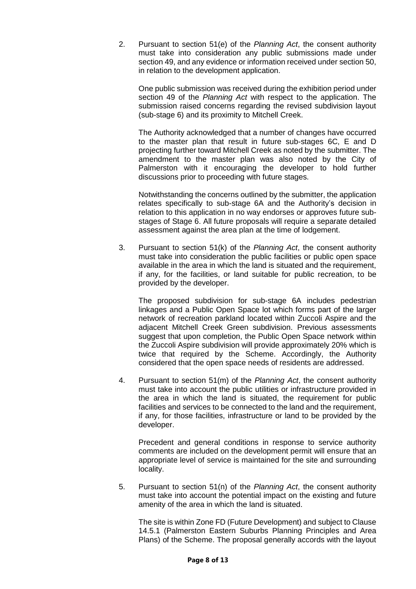2. Pursuant to section 51(e) of the *Planning Act*, the consent authority must take into consideration any public submissions made under section 49, and any evidence or information received under section 50, in relation to the development application.

One public submission was received during the exhibition period under section 49 of the *Planning Act* with respect to the application. The submission raised concerns regarding the revised subdivision layout (sub-stage 6) and its proximity to Mitchell Creek.

The Authority acknowledged that a number of changes have occurred to the master plan that result in future sub-stages 6C, E and D projecting further toward Mitchell Creek as noted by the submitter. The amendment to the master plan was also noted by the City of Palmerston with it encouraging the developer to hold further discussions prior to proceeding with future stages.

Notwithstanding the concerns outlined by the submitter, the application relates specifically to sub-stage 6A and the Authority's decision in relation to this application in no way endorses or approves future substages of Stage 6. All future proposals will require a separate detailed assessment against the area plan at the time of lodgement.

3. Pursuant to section 51(k) of the *Planning Act*, the consent authority must take into consideration the public facilities or public open space available in the area in which the land is situated and the requirement. if any, for the facilities, or land suitable for public recreation, to be provided by the developer.

The proposed subdivision for sub-stage 6A includes pedestrian linkages and a Public Open Space lot which forms part of the larger network of recreation parkland located within Zuccoli Aspire and the adjacent Mitchell Creek Green subdivision. Previous assessments suggest that upon completion, the Public Open Space network within the Zuccoli Aspire subdivision will provide approximately 20% which is twice that required by the Scheme. Accordingly, the Authority considered that the open space needs of residents are addressed.

4. Pursuant to section 51(m) of the *Planning Act*, the consent authority must take into account the public utilities or infrastructure provided in the area in which the land is situated, the requirement for public facilities and services to be connected to the land and the requirement, if any, for those facilities, infrastructure or land to be provided by the developer.

Precedent and general conditions in response to service authority comments are included on the development permit will ensure that an appropriate level of service is maintained for the site and surrounding locality.

5. Pursuant to section 51(n) of the *Planning Act*, the consent authority must take into account the potential impact on the existing and future amenity of the area in which the land is situated.

The site is within Zone FD (Future Development) and subject to Clause 14.5.1 (Palmerston Eastern Suburbs Planning Principles and Area Plans) of the Scheme. The proposal generally accords with the layout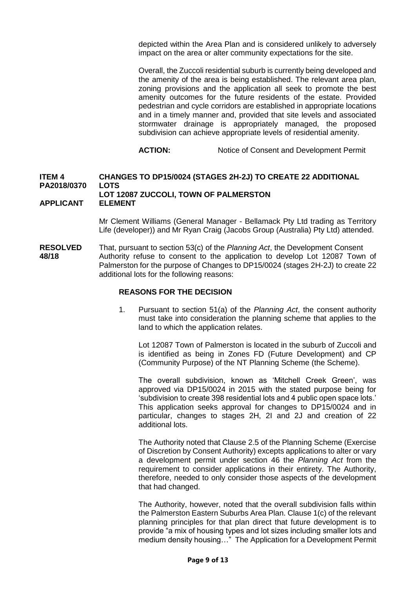depicted within the Area Plan and is considered unlikely to adversely impact on the area or alter community expectations for the site.

Overall, the Zuccoli residential suburb is currently being developed and the amenity of the area is being established. The relevant area plan, zoning provisions and the application all seek to promote the best amenity outcomes for the future residents of the estate. Provided pedestrian and cycle corridors are established in appropriate locations and in a timely manner and, provided that site levels and associated stormwater drainage is appropriately managed, the proposed subdivision can achieve appropriate levels of residential amenity.

ACTION: Notice of Consent and Development Permit

#### **ITEM 4 CHANGES TO DP15/0024 (STAGES 2H-2J) TO CREATE 22 ADDITIONAL PA2018/0370 LOTS LOT 12087 ZUCCOLI, TOWN OF PALMERSTON APPLICANT ELEMENT**

Mr Clement Williams (General Manager - Bellamack Pty Ltd trading as Territory Life (developer)) and Mr Ryan Craig (Jacobs Group (Australia) Pty Ltd) attended.

**RESOLVED** That, pursuant to section 53(c) of the *Planning Act*, the Development Consent **48/18** Authority refuse to consent to the application to develop Lot 12087 Town **48/18** Authority refuse to consent to the application to develop Lot 12087 Town of Palmerston for the purpose of Changes to DP15/0024 (stages 2H-2J) to create 22 additional lots for the following reasons:

#### **REASONS FOR THE DECISION**

1. Pursuant to section 51(a) of the *Planning Act*, the consent authority must take into consideration the planning scheme that applies to the land to which the application relates.

Lot 12087 Town of Palmerston is located in the suburb of Zuccoli and is identified as being in Zones FD (Future Development) and CP (Community Purpose) of the NT Planning Scheme (the Scheme).

The overall subdivision, known as 'Mitchell Creek Green', was approved via DP15/0024 in 2015 with the stated purpose being for 'subdivision to create 398 residential lots and 4 public open space lots.' This application seeks approval for changes to DP15/0024 and in particular, changes to stages 2H, 2I and 2J and creation of 22 additional lots.

The Authority noted that Clause 2.5 of the Planning Scheme (Exercise of Discretion by Consent Authority) excepts applications to alter or vary a development permit under section 46 the *Planning Act* from the requirement to consider applications in their entirety. The Authority, therefore, needed to only consider those aspects of the development that had changed.

The Authority, however, noted that the overall subdivision falls within the Palmerston Eastern Suburbs Area Plan. Clause 1(c) of the relevant planning principles for that plan direct that future development is to provide "a mix of housing types and lot sizes including smaller lots and medium density housing…" The Application for a Development Permit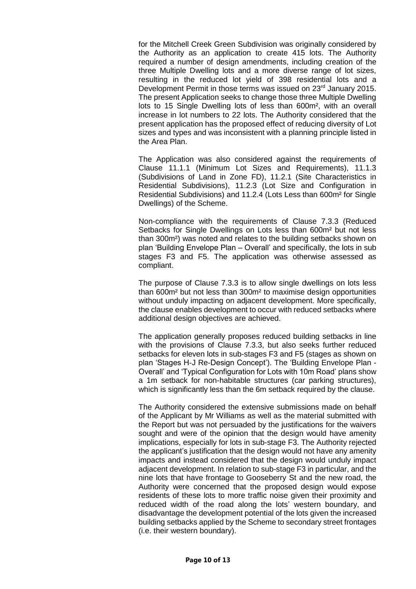for the Mitchell Creek Green Subdivision was originally considered by the Authority as an application to create 415 lots. The Authority required a number of design amendments, including creation of the three Multiple Dwelling lots and a more diverse range of lot sizes, resulting in the reduced lot yield of 398 residential lots and a Development Permit in those terms was issued on 23rd January 2015. The present Application seeks to change those three Multiple Dwelling lots to 15 Single Dwelling lots of less than 600m², with an overall increase in lot numbers to 22 lots. The Authority considered that the present application has the proposed effect of reducing diversity of Lot sizes and types and was inconsistent with a planning principle listed in the Area Plan.

The Application was also considered against the requirements of Clause 11.1.1 (Minimum Lot Sizes and Requirements), 11.1.3 (Subdivisions of Land in Zone FD), 11.2.1 (Site Characteristics in Residential Subdivisions), 11.2.3 (Lot Size and Configuration in Residential Subdivisions) and 11.2.4 (Lots Less than 600m² for Single Dwellings) of the Scheme.

Non-compliance with the requirements of Clause 7.3.3 (Reduced Setbacks for Single Dwellings on Lots less than 600m² but not less than 300m²) was noted and relates to the building setbacks shown on plan 'Building Envelope Plan – Overall' and specifically, the lots in sub stages F3 and F5. The application was otherwise assessed as compliant.

The purpose of Clause 7.3.3 is to allow single dwellings on lots less than 600m² but not less than 300m² to maximise design opportunities without unduly impacting on adjacent development. More specifically, the clause enables development to occur with reduced setbacks where additional design objectives are achieved.

The application generally proposes reduced building setbacks in line with the provisions of Clause 7.3.3, but also seeks further reduced setbacks for eleven lots in sub-stages F3 and F5 (stages as shown on plan 'Stages H-J Re-Design Concept'). The 'Building Envelope Plan - Overall' and 'Typical Configuration for Lots with 10m Road' plans show a 1m setback for non-habitable structures (car parking structures), which is significantly less than the 6m setback required by the clause.

The Authority considered the extensive submissions made on behalf of the Applicant by Mr Williams as well as the material submitted with the Report but was not persuaded by the justifications for the waivers sought and were of the opinion that the design would have amenity implications, especially for lots in sub-stage F3. The Authority rejected the applicant's justification that the design would not have any amenity impacts and instead considered that the design would unduly impact adjacent development. In relation to sub-stage F3 in particular, and the nine lots that have frontage to Gooseberry St and the new road, the Authority were concerned that the proposed design would expose residents of these lots to more traffic noise given their proximity and reduced width of the road along the lots' western boundary, and disadvantage the development potential of the lots given the increased building setbacks applied by the Scheme to secondary street frontages (i.e. their western boundary).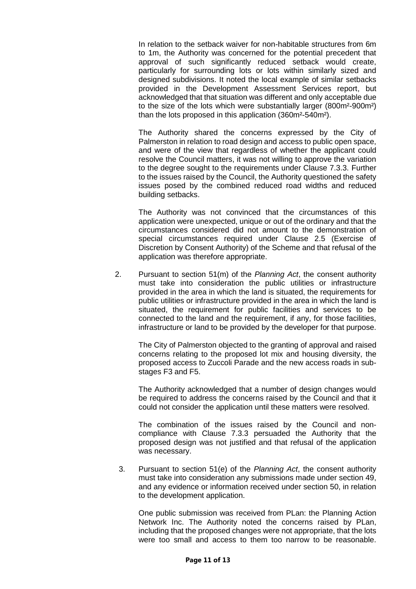In relation to the setback waiver for non-habitable structures from 6m to 1m, the Authority was concerned for the potential precedent that approval of such significantly reduced setback would create, particularly for surrounding lots or lots within similarly sized and designed subdivisions. It noted the local example of similar setbacks provided in the Development Assessment Services report, but acknowledged that that situation was different and only acceptable due to the size of the lots which were substantially larger (800m²-900m²) than the lots proposed in this application (360m²-540m²).

The Authority shared the concerns expressed by the City of Palmerston in relation to road design and access to public open space, and were of the view that regardless of whether the applicant could resolve the Council matters, it was not willing to approve the variation to the degree sought to the requirements under Clause 7.3.3. Further to the issues raised by the Council, the Authority questioned the safety issues posed by the combined reduced road widths and reduced building setbacks.

The Authority was not convinced that the circumstances of this application were unexpected, unique or out of the ordinary and that the circumstances considered did not amount to the demonstration of special circumstances required under Clause 2.5 (Exercise of Discretion by Consent Authority) of the Scheme and that refusal of the application was therefore appropriate.

2. Pursuant to section 51(m) of the *Planning Act*, the consent authority must take into consideration the public utilities or infrastructure provided in the area in which the land is situated, the requirements for public utilities or infrastructure provided in the area in which the land is situated, the requirement for public facilities and services to be connected to the land and the requirement, if any, for those facilities, infrastructure or land to be provided by the developer for that purpose.

The City of Palmerston objected to the granting of approval and raised concerns relating to the proposed lot mix and housing diversity, the proposed access to Zuccoli Parade and the new access roads in substages F3 and F5.

The Authority acknowledged that a number of design changes would be required to address the concerns raised by the Council and that it could not consider the application until these matters were resolved.

The combination of the issues raised by the Council and noncompliance with Clause 7.3.3 persuaded the Authority that the proposed design was not justified and that refusal of the application was necessary.

3. Pursuant to section 51(e) of the *Planning Act*, the consent authority must take into consideration any submissions made under section 49, and any evidence or information received under section 50, in relation to the development application.

One public submission was received from PLan: the Planning Action Network Inc. The Authority noted the concerns raised by PLan, including that the proposed changes were not appropriate, that the lots were too small and access to them too narrow to be reasonable.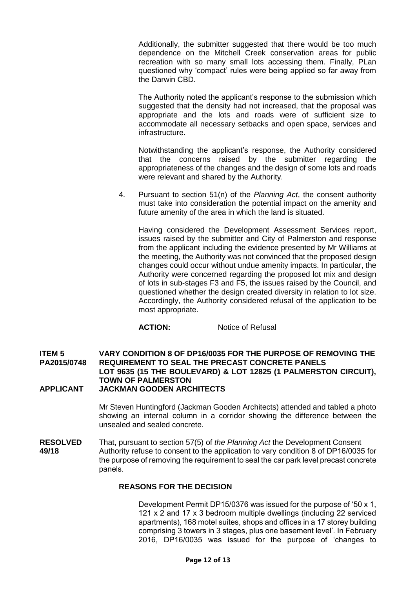Additionally, the submitter suggested that there would be too much dependence on the Mitchell Creek conservation areas for public recreation with so many small lots accessing them. Finally, PLan questioned why 'compact' rules were being applied so far away from the Darwin CBD.

The Authority noted the applicant's response to the submission which suggested that the density had not increased, that the proposal was appropriate and the lots and roads were of sufficient size to accommodate all necessary setbacks and open space, services and infrastructure.

Notwithstanding the applicant's response, the Authority considered that the concerns raised by the submitter regarding the appropriateness of the changes and the design of some lots and roads were relevant and shared by the Authority.

4. Pursuant to section 51(n) of the *Planning Act*, the consent authority must take into consideration the potential impact on the amenity and future amenity of the area in which the land is situated.

Having considered the Development Assessment Services report, issues raised by the submitter and City of Palmerston and response from the applicant including the evidence presented by Mr Williams at the meeting, the Authority was not convinced that the proposed design changes could occur without undue amenity impacts. In particular, the Authority were concerned regarding the proposed lot mix and design of lots in sub-stages F3 and F5, the issues raised by the Council, and questioned whether the design created diversity in relation to lot size. Accordingly, the Authority considered refusal of the application to be most appropriate.

ACTION: Notice of Refusal

#### **ITEM 5 VARY CONDITION 8 OF DP16/0035 FOR THE PURPOSE OF REMOVING THE PA2015/0748 REQUIREMENT TO SEAL THE PRECAST CONCRETE PANELS LOT 9635 (15 THE BOULEVARD) & LOT 12825 (1 PALMERSTON CIRCUIT), TOWN OF PALMERSTON APPLICANT JACKMAN GOODEN ARCHITECTS**

Mr Steven Huntingford (Jackman Gooden Architects) attended and tabled a photo showing an internal column in a corridor showing the difference between the unsealed and sealed concrete.

**RESOLVED** That, pursuant to section 57(5) of *the Planning Act* the Development Consent **49/18** Authority refuse to consent to the application to vary condition 8 of DP16/0035 for the purpose of removing the requirement to seal the car park level precast concrete panels.

#### **REASONS FOR THE DECISION**

Development Permit DP15/0376 was issued for the purpose of '50 x 1, 121 x 2 and 17 x 3 bedroom multiple dwellings (including 22 serviced apartments), 168 motel suites, shops and offices in a 17 storey building comprising 3 towers in 3 stages, plus one basement level'. In February 2016, DP16/0035 was issued for the purpose of 'changes to